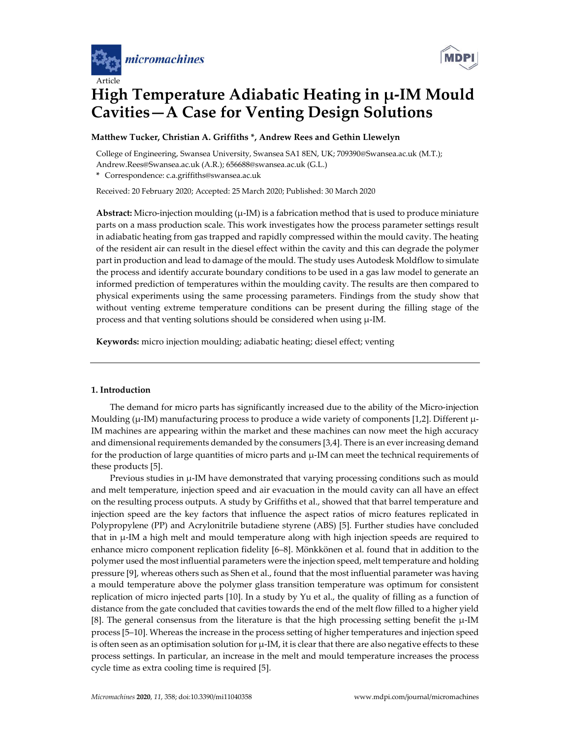



# **High Temperature Adiabatic Heating in µ-IM Mould Cavities—A Case for Venting Design Solutions**

# **Matthew Tucker, Christian A. Griffiths \*, Andrew Rees and Gethin Llewelyn**

College of Engineering, Swansea University, Swansea SA1 8EN, UK; 709390@Swansea.ac.uk (M.T.); Andrew.Rees@Swansea.ac.uk (A.R.); 656688@swansea.ac.uk (G.L.)

**\*** Correspondence: c.a.griffiths@swansea.ac.uk

Received: 20 February 2020; Accepted: 25 March 2020; Published: 30 March 2020

**Abstract:** Micro-injection moulding  $(\mu$ -IM) is a fabrication method that is used to produce miniature parts on a mass production scale. This work investigates how the process parameter settings result in adiabatic heating from gas trapped and rapidly compressed within the mould cavity. The heating of the resident air can result in the diesel effect within the cavity and this can degrade the polymer part in production and lead to damage of the mould. The study uses Autodesk Moldflow to simulate the process and identify accurate boundary conditions to be used in a gas law model to generate an informed prediction of temperatures within the moulding cavity. The results are then compared to physical experiments using the same processing parameters. Findings from the study show that without venting extreme temperature conditions can be present during the filling stage of the process and that venting solutions should be considered when using  $\mu$ -IM.

**Keywords:** micro injection moulding; adiabatic heating; diesel effect; venting

## **1. Introduction**

The demand for micro parts has significantly increased due to the ability of the Micro-injection Moulding (µ-IM) manufacturing process to produce a wide variety of components [1,2]. Different µ-IM machines are appearing within the market and these machines can now meet the high accuracy and dimensional requirements demanded by the consumers [3,4]. There is an ever increasing demand for the production of large quantities of micro parts and  $\mu$ -IM can meet the technical requirements of these products [5].

Previous studies in  $\mu$ -IM have demonstrated that varying processing conditions such as mould and melt temperature, injection speed and air evacuation in the mould cavity can all have an effect on the resulting process outputs. A study by Griffiths et al., showed that that barrel temperature and injection speed are the key factors that influence the aspect ratios of micro features replicated in Polypropylene (PP) and Acrylonitrile butadiene styrene (ABS) [5]. Further studies have concluded that in µ-IM a high melt and mould temperature along with high injection speeds are required to enhance micro component replication fidelity [6–8]. Mönkkönen et al. found that in addition to the polymer used the most influential parameters were the injection speed, melt temperature and holding pressure [9], whereas others such as Shen et al., found that the most influential parameter was having a mould temperature above the polymer glass transition temperature was optimum for consistent replication of micro injected parts [10]. In a study by Yu et al., the quality of filling as a function of distance from the gate concluded that cavities towards the end of the melt flow filled to a higher yield [8]. The general consensus from the literature is that the high processing setting benefit the µ-IM process [5–10]. Whereas the increase in the process setting of higher temperatures and injection speed is often seen as an optimisation solution for  $\mu$ -IM, it is clear that there are also negative effects to these process settings. In particular, an increase in the melt and mould temperature increases the process cycle time as extra cooling time is required [5].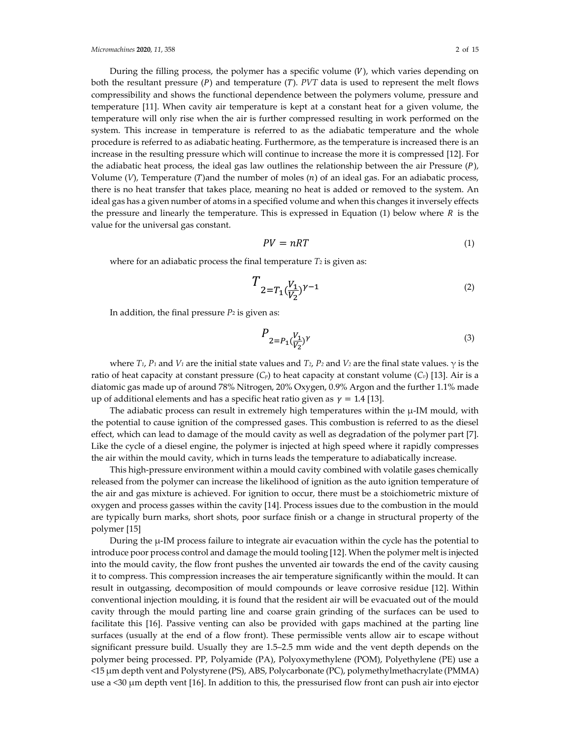During the filling process, the polymer has a specific volume  $(V)$ , which varies depending on both the resultant pressure  $(P)$  and temperature  $(T)$ . *PVT* data is used to represent the melt flows compressibility and shows the functional dependence between the polymers volume, pressure and temperature [11]. When cavity air temperature is kept at a constant heat for a given volume, the temperature will only rise when the air is further compressed resulting in work performed on the system. This increase in temperature is referred to as the adiabatic temperature and the whole procedure is referred to as adiabatic heating. Furthermore, as the temperature is increased there is an increase in the resulting pressure which will continue to increase the more it is compressed [12]. For the adiabatic heat process, the ideal gas law outlines the relationship between the air Pressure  $(P)$ , Volume  $(V)$ , Temperature  $(T)$  and the number of moles  $(n)$  of an ideal gas. For an adiabatic process, there is no heat transfer that takes place, meaning no heat is added or removed to the system. An ideal gas has a given number of atoms in a specified volume and when this changes it inversely effects the pressure and linearly the temperature. This is expressed in Equation (1) below where  *is the* value for the universal gas constant.

$$
PV = nRT \tag{1}
$$

where for an adiabatic process the final temperature *T*<sub>2</sub> is given as:

$$
T_{2=T_1(\frac{V_1}{V_2})^{\gamma-1}} \tag{2}
$$

In addition, the final pressure  $P_2$  is given as:

$$
P_{2=P_1\left(\frac{V_1}{V_2}\right)^{\gamma}}\tag{3}
$$

where  $T_1$ ,  $P_1$  and  $V_1$  are the initial state values and  $T_2$ ,  $P_2$  and  $V_2$  are the final state values.  $\gamma$  is the ratio of heat capacity at constant pressure (*Cp*) to heat capacity at constant volume (*Cv*) [13]. Air is a diatomic gas made up of around 78% Nitrogen, 20% Oxygen, 0.9% Argon and the further 1.1% made up of additional elements and has a specific heat ratio given as  $\gamma = 1.4$  [13].

The adiabatic process can result in extremely high temperatures within the  $\mu$ -IM mould, with the potential to cause ignition of the compressed gases. This combustion is referred to as the diesel effect, which can lead to damage of the mould cavity as well as degradation of the polymer part [7]. Like the cycle of a diesel engine, the polymer is injected at high speed where it rapidly compresses the air within the mould cavity, which in turns leads the temperature to adiabatically increase.

This high-pressure environment within a mould cavity combined with volatile gases chemically released from the polymer can increase the likelihood of ignition as the auto ignition temperature of the air and gas mixture is achieved. For ignition to occur, there must be a stoichiometric mixture of oxygen and process gasses within the cavity [14]. Process issues due to the combustion in the mould are typically burn marks, short shots, poor surface finish or a change in structural property of the polymer [15]

During the µ-IM process failure to integrate air evacuation within the cycle has the potential to introduce poor process control and damage the mould tooling [12]. When the polymer melt is injected into the mould cavity, the flow front pushes the unvented air towards the end of the cavity causing it to compress. This compression increases the air temperature significantly within the mould. It can result in outgassing, decomposition of mould compounds or leave corrosive residue [12]. Within conventional injection moulding, it is found that the resident air will be evacuated out of the mould cavity through the mould parting line and coarse grain grinding of the surfaces can be used to facilitate this [16]. Passive venting can also be provided with gaps machined at the parting line surfaces (usually at the end of a flow front). These permissible vents allow air to escape without significant pressure build. Usually they are 1.5–2.5 mm wide and the vent depth depends on the polymer being processed. PP, Polyamide (PA), Polyoxymethylene (POM), Polyethylene (PE) use a <15 µm depth vent and Polystyrene (PS), ABS, Polycarbonate (PC), polymethylmethacrylate (PMMA) use a  $\leq$ 30  $\mu$ m depth vent [16]. In addition to this, the pressurised flow front can push air into ejector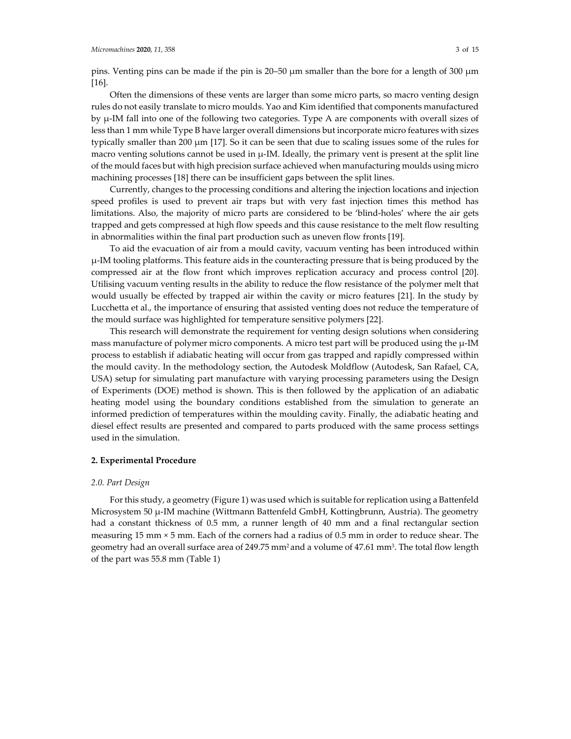pins. Venting pins can be made if the pin is 20–50 µm smaller than the bore for a length of 300 µm [16].

Often the dimensions of these vents are larger than some micro parts, so macro venting design rules do not easily translate to micro moulds. Yao and Kim identified that components manufactured by µ-IM fall into one of the following two categories. Type A are components with overall sizes of less than 1 mm while Type B have larger overall dimensions but incorporate micro features with sizes typically smaller than 200  $\mu$ m [17]. So it can be seen that due to scaling issues some of the rules for macro venting solutions cannot be used in  $\mu$ -IM. Ideally, the primary vent is present at the split line of the mould faces but with high precision surface achieved when manufacturing moulds using micro machining processes [18] there can be insufficient gaps between the split lines.

Currently, changes to the processing conditions and altering the injection locations and injection speed profiles is used to prevent air traps but with very fast injection times this method has limitations. Also, the majority of micro parts are considered to be 'blind-holes' where the air gets trapped and gets compressed at high flow speeds and this cause resistance to the melt flow resulting in abnormalities within the final part production such as uneven flow fronts [19].

To aid the evacuation of air from a mould cavity, vacuum venting has been introduced within µ-IM tooling platforms. This feature aids in the counteracting pressure that is being produced by the compressed air at the flow front which improves replication accuracy and process control [20]. Utilising vacuum venting results in the ability to reduce the flow resistance of the polymer melt that would usually be effected by trapped air within the cavity or micro features [21]. In the study by Lucchetta et al., the importance of ensuring that assisted venting does not reduce the temperature of the mould surface was highlighted for temperature sensitive polymers [22].

This research will demonstrate the requirement for venting design solutions when considering mass manufacture of polymer micro components. A micro test part will be produced using the  $\mu$ -IM process to establish if adiabatic heating will occur from gas trapped and rapidly compressed within the mould cavity. In the methodology section, the Autodesk Moldflow (Autodesk, San Rafael, CA, USA) setup for simulating part manufacture with varying processing parameters using the Design of Experiments (DOE) method is shown. This is then followed by the application of an adiabatic heating model using the boundary conditions established from the simulation to generate an informed prediction of temperatures within the moulding cavity. Finally, the adiabatic heating and diesel effect results are presented and compared to parts produced with the same process settings used in the simulation.

## **2. Experimental Procedure**

#### *2.0. Part Design*

For this study, a geometry (Figure 1) was used which is suitable for replication using a Battenfeld Microsystem 50 µ-IM machine (Wittmann Battenfeld GmbH, Kottingbrunn, Austria). The geometry had a constant thickness of 0.5 mm, a runner length of 40 mm and a final rectangular section measuring 15 mm × 5 mm. Each of the corners had a radius of 0.5 mm in order to reduce shear. The geometry had an overall surface area of 249.75 mm<sup>2</sup> and a volume of 47.61 mm<sup>3</sup>. The total flow length of the part was 55.8 mm (Table 1)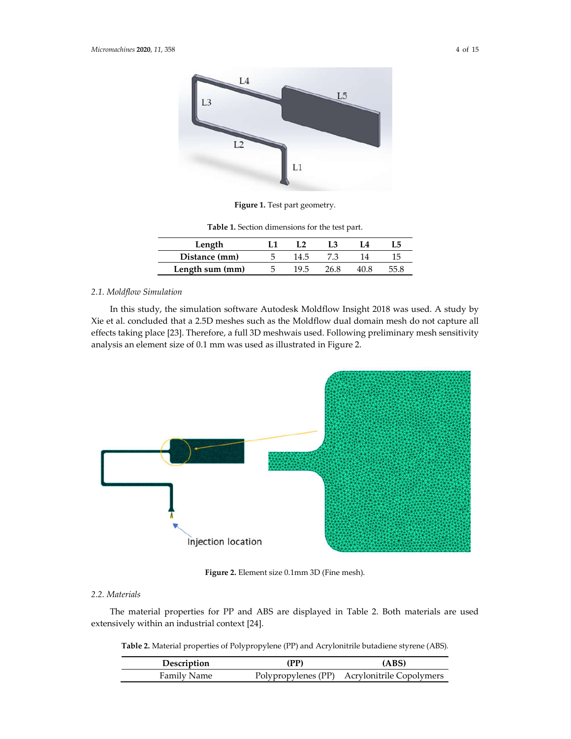

**Figure 1.** Test part geometry.

| Table 1. Section dimensions for the test part. |  |  |  |  |
|------------------------------------------------|--|--|--|--|
|------------------------------------------------|--|--|--|--|

| Length          |      |  |  |
|-----------------|------|--|--|
| Distance (mm)   |      |  |  |
| Length sum (mm) | 19.5 |  |  |

# *2.1. Moldflow Simulation*

In this study, the simulation software Autodesk Moldflow Insight 2018 was used. A study by Xie et al. concluded that a 2.5D meshes such as the Moldflow dual domain mesh do not capture all effects taking place [23]. Therefore, a full 3D meshwais used. Following preliminary mesh sensitivity analysis an element size of 0.1 mm was used as illustrated in Figure 2.



**Figure 2.** Element size 0.1mm 3D (Fine mesh).

# *2.2. Materials*

The material properties for PP and ABS are displayed in Table 2. Both materials are used extensively within an industrial context [24].

**Table 2.** Material properties of Polypropylene (PP) and Acrylonitrile butadiene styrene (ABS)*.*

| Description | (PP) | (ABS)                                        |
|-------------|------|----------------------------------------------|
| Family Name |      | Polypropylenes (PP) Acrylonitrile Copolymers |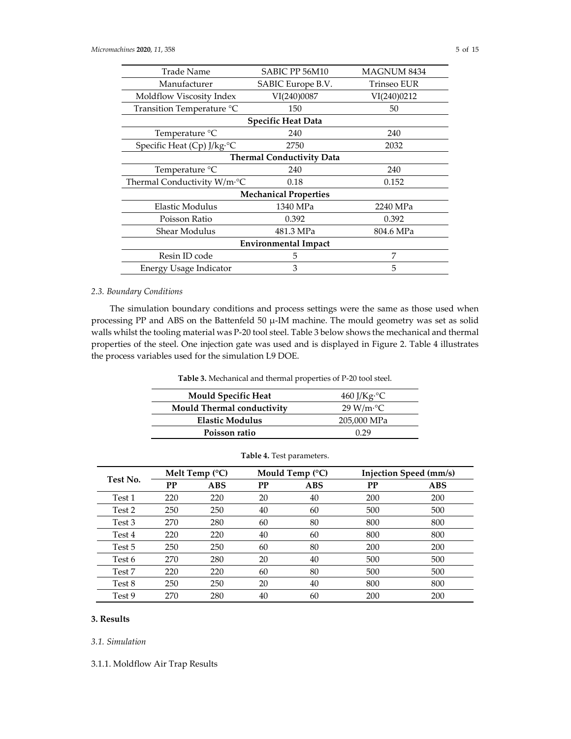| SABIC PP 56M10                   | <b>MAGNUM 8434</b> |  |  |  |
|----------------------------------|--------------------|--|--|--|
| SABIC Europe B.V.                | Trinseo EUR        |  |  |  |
| VI(240)0087                      | VI(240)0212        |  |  |  |
| 150                              | 50                 |  |  |  |
| <b>Specific Heat Data</b>        |                    |  |  |  |
| 240                              | 240                |  |  |  |
| 2750                             | 2032               |  |  |  |
| <b>Thermal Conductivity Data</b> |                    |  |  |  |
| 240                              | 240                |  |  |  |
| 0.18                             | 0.152              |  |  |  |
| <b>Mechanical Properties</b>     |                    |  |  |  |
| 1340 MPa                         | 2240 MPa           |  |  |  |
| 0.392                            | 0.392              |  |  |  |
| 481.3 MPa                        | 804.6 MPa          |  |  |  |
| <b>Environmental Impact</b>      |                    |  |  |  |
| 5                                | 7                  |  |  |  |
| 3                                | 5                  |  |  |  |
|                                  |                    |  |  |  |

# *2.3. Boundary Conditions*

The simulation boundary conditions and process settings were the same as those used when processing PP and ABS on the Battenfeld 50 µ-IM machine. The mould geometry was set as solid walls whilst the tooling material was P-20 tool steel. Table 3 below shows the mechanical and thermal properties of the steel. One injection gate was used and is displayed in Figure 2. Table 4 illustrates the process variables used for the simulation L9 DOE.

**Table 3.** Mechanical and thermal properties of P-20 tool steel.

| <b>Mould Specific Heat</b> | $460$ J/Kg <sup>o</sup> C |
|----------------------------|---------------------------|
| Mould Thermal conductivity | 29 W/m <sup>o</sup> C     |
| <b>Elastic Modulus</b>     | 205,000 MPa               |
| Poisson ratio              | በ 29                      |

| Test No. |     | Melt Temp $(^{\circ}C)$ |    | Mould Temp $(^{\circ}C)$ |     | Injection Speed (mm/s) |
|----------|-----|-------------------------|----|--------------------------|-----|------------------------|
|          | PP  | <b>ABS</b>              | PP | <b>ABS</b>               | PP  | <b>ABS</b>             |
| Test 1   | 220 | 220                     | 20 | 40                       | 200 | 200                    |
| Test 2   | 250 | 250                     | 40 | 60                       | 500 | 500                    |
| Test 3   | 270 | 280                     | 60 | 80                       | 800 | 800                    |
| Test 4   | 220 | 220                     | 40 | 60                       | 800 | 800                    |
| Test 5   | 250 | 250                     | 60 | 80                       | 200 | 200                    |
| Test 6   | 270 | 280                     | 20 | 40                       | 500 | 500                    |
| Test 7   | 220 | 220                     | 60 | 80                       | 500 | 500                    |
| Test 8   | 250 | 250                     | 20 | 40                       | 800 | 800                    |
| Test 9   | 270 | 280                     | 40 | 60                       | 200 | 200                    |

| Table 4. Test parameters. |  |
|---------------------------|--|
|---------------------------|--|

# **3. Results**

*3.1. Simulation* 

3.1.1. Moldflow Air Trap Results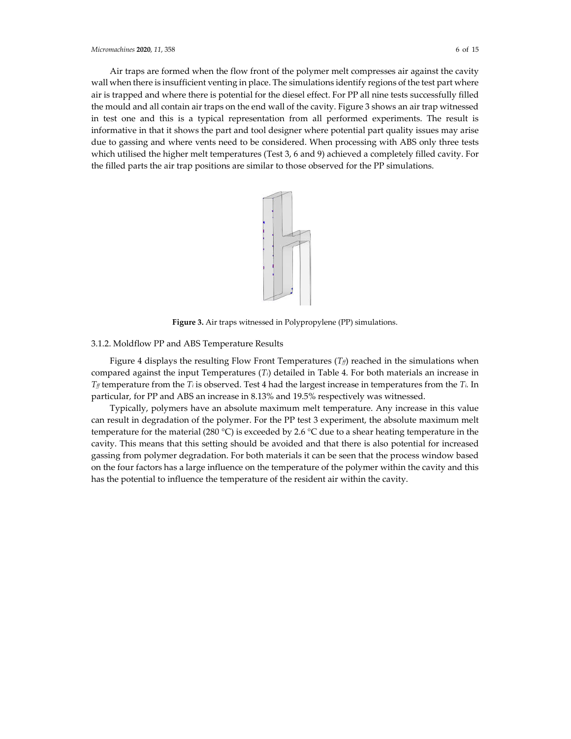Air traps are formed when the flow front of the polymer melt compresses air against the cavity wall when there is insufficient venting in place. The simulations identify regions of the test part where air is trapped and where there is potential for the diesel effect. For PP all nine tests successfully filled the mould and all contain air traps on the end wall of the cavity. Figure 3 shows an air trap witnessed in test one and this is a typical representation from all performed experiments. The result is informative in that it shows the part and tool designer where potential part quality issues may arise due to gassing and where vents need to be considered. When processing with ABS only three tests which utilised the higher melt temperatures (Test 3, 6 and 9) achieved a completely filled cavity. For

the filled parts the air trap positions are similar to those observed for the PP simulations.



**Figure 3.** Air traps witnessed in Polypropylene (PP) simulations.

## 3.1.2. Moldflow PP and ABS Temperature Results

Figure 4 displays the resulting Flow Front Temperatures  $(T_f)$  reached in the simulations when compared against the input Temperatures (*Ti*) detailed in Table 4. For both materials an increase in *Tff* temperature from the *Ti* is observed. Test 4 had the largest increase in temperatures from the *Ti.* In particular, for PP and ABS an increase in 8.13% and 19.5% respectively was witnessed.

Typically, polymers have an absolute maximum melt temperature. Any increase in this value can result in degradation of the polymer. For the PP test 3 experiment, the absolute maximum melt temperature for the material (280 °C) is exceeded by 2.6 °C due to a shear heating temperature in the cavity. This means that this setting should be avoided and that there is also potential for increased gassing from polymer degradation. For both materials it can be seen that the process window based on the four factors has a large influence on the temperature of the polymer within the cavity and this has the potential to influence the temperature of the resident air within the cavity.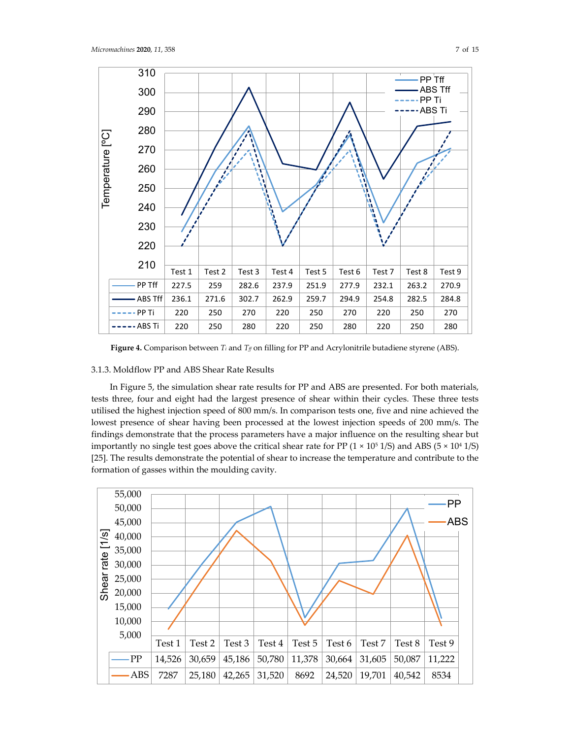



**Figure 4.** Comparison between  $T_i$  and  $T_f$  on filling for PP and Acrylonitrile butadiene styrene (ABS).

# 3.1.3. Moldflow PP and ABS Shear Rate Results

In Figure 5, the simulation shear rate results for PP and ABS are presented. For both materials, tests three, four and eight had the largest presence of shear within their cycles. These three tests utilised the highest injection speed of 800 mm/s. In comparison tests one, five and nine achieved the lowest presence of shear having been processed at the lowest injection speeds of 200 mm/s. The findings demonstrate that the process parameters have a major influence on the resulting shear but importantly no single test goes above the critical shear rate for PP ( $1 \times 10^5$  1/S) and ABS ( $5 \times 10^4$  1/S) [25]. The results demonstrate the potential of shear to increase the temperature and contribute to the formation of gasses within the moulding cavity.

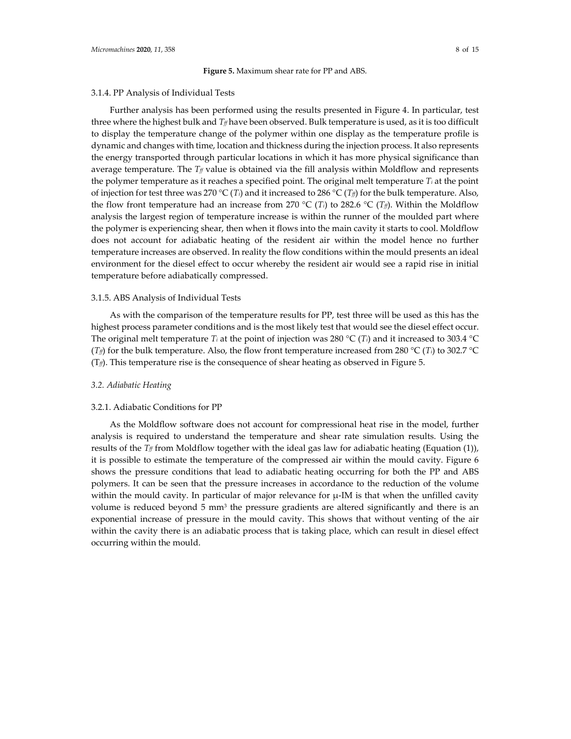#### **Figure 5.** Maximum shear rate for PP and ABS.

#### 3.1.4. PP Analysis of Individual Tests

Further analysis has been performed using the results presented in Figure 4. In particular, test three where the highest bulk and  $T_f$  have been observed. Bulk temperature is used, as it is too difficult to display the temperature change of the polymer within one display as the temperature profile is dynamic and changes with time, location and thickness during the injection process. It also represents the energy transported through particular locations in which it has more physical significance than average temperature. The  $T_f$  value is obtained via the fill analysis within Moldflow and represents the polymer temperature as it reaches a specified point. The original melt temperature *Ti* at the point of injection for test three was 270 °C (*T<sub>i</sub>*) and it increased to 286 °C (*T<sub>ff</sub>*) for the bulk temperature. Also, the flow front temperature had an increase from 270 °C (*T<sub>i</sub>*) to 282.6 °C (*T<sub>f</sub>*). Within the Moldflow analysis the largest region of temperature increase is within the runner of the moulded part where the polymer is experiencing shear, then when it flows into the main cavity it starts to cool. Moldflow does not account for adiabatic heating of the resident air within the model hence no further temperature increases are observed. In reality the flow conditions within the mould presents an ideal environment for the diesel effect to occur whereby the resident air would see a rapid rise in initial temperature before adiabatically compressed.

#### 3.1.5. ABS Analysis of Individual Tests

As with the comparison of the temperature results for PP, test three will be used as this has the highest process parameter conditions and is the most likely test that would see the diesel effect occur. The original melt temperature *Ti* at the point of injection was 280 °C (*Ti*) and it increased to 303.4 °C (*T<sub>ff</sub>*) for the bulk temperature. Also, the flow front temperature increased from 280 °C (*T<sub>i</sub>*) to 302.7 °C  $(T_f)$ . This temperature rise is the consequence of shear heating as observed in Figure 5.

## *3.2. Adiabatic Heating*

#### 3.2.1. Adiabatic Conditions for PP

As the Moldflow software does not account for compressional heat rise in the model, further analysis is required to understand the temperature and shear rate simulation results. Using the results of the  $T_f$  from Moldflow together with the ideal gas law for adiabatic heating (Equation (1)), it is possible to estimate the temperature of the compressed air within the mould cavity. Figure 6 shows the pressure conditions that lead to adiabatic heating occurring for both the PP and ABS polymers. It can be seen that the pressure increases in accordance to the reduction of the volume within the mould cavity. In particular of major relevance for  $\mu$ -IM is that when the unfilled cavity volume is reduced beyond 5 mm<sup>3</sup> the pressure gradients are altered significantly and there is an exponential increase of pressure in the mould cavity. This shows that without venting of the air within the cavity there is an adiabatic process that is taking place, which can result in diesel effect occurring within the mould.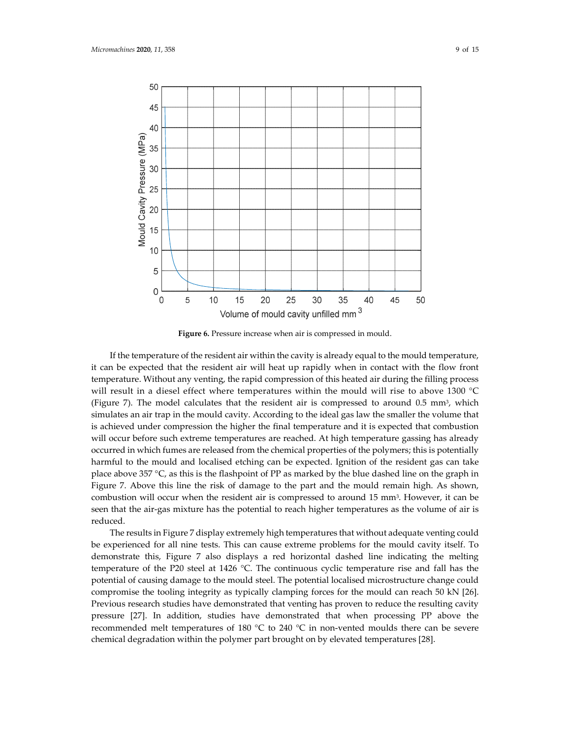

**Figure 6.** Pressure increase when air is compressed in mould.

If the temperature of the resident air within the cavity is already equal to the mould temperature, it can be expected that the resident air will heat up rapidly when in contact with the flow front temperature. Without any venting, the rapid compression of this heated air during the filling process will result in a diesel effect where temperatures within the mould will rise to above 1300 °C (Figure 7). The model calculates that the resident air is compressed to around  $0.5 \text{ mm}^3$ , which simulates an air trap in the mould cavity. According to the ideal gas law the smaller the volume that is achieved under compression the higher the final temperature and it is expected that combustion will occur before such extreme temperatures are reached. At high temperature gassing has already occurred in which fumes are released from the chemical properties of the polymers; this is potentially harmful to the mould and localised etching can be expected. Ignition of the resident gas can take place above 357 °C, as this is the flashpoint of PP as marked by the blue dashed line on the graph in Figure 7. Above this line the risk of damage to the part and the mould remain high. As shown, combustion will occur when the resident air is compressed to around 15 mm3. However, it can be seen that the air-gas mixture has the potential to reach higher temperatures as the volume of air is reduced.

The results in Figure 7 display extremely high temperatures that without adequate venting could be experienced for all nine tests. This can cause extreme problems for the mould cavity itself. To demonstrate this, Figure 7 also displays a red horizontal dashed line indicating the melting temperature of the P20 steel at 1426 °C. The continuous cyclic temperature rise and fall has the potential of causing damage to the mould steel. The potential localised microstructure change could compromise the tooling integrity as typically clamping forces for the mould can reach 50 kN [26]. Previous research studies have demonstrated that venting has proven to reduce the resulting cavity pressure [27]. In addition, studies have demonstrated that when processing PP above the recommended melt temperatures of 180 °C to 240 °C in non-vented moulds there can be severe chemical degradation within the polymer part brought on by elevated temperatures [28].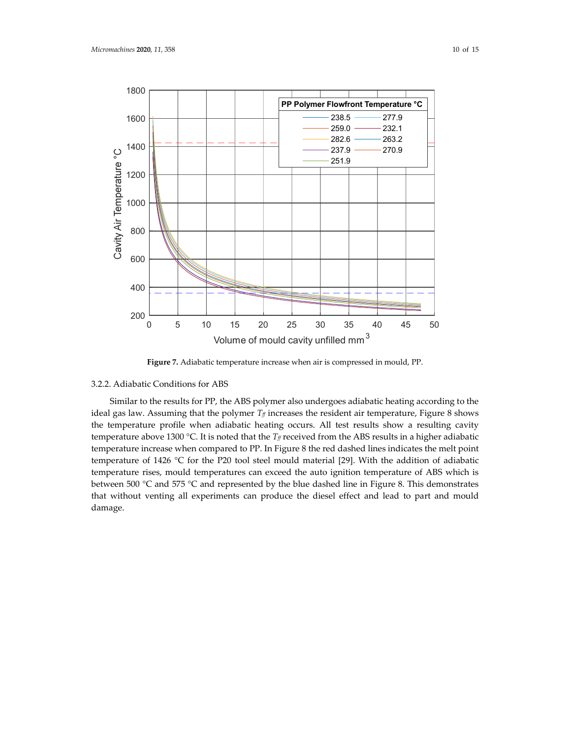

**Figure 7.** Adiabatic temperature increase when air is compressed in mould, PP.

## 3.2.2. Adiabatic Conditions for ABS

Similar to the results for PP, the ABS polymer also undergoes adiabatic heating according to the ideal gas law. Assuming that the polymer  $T_f$  increases the resident air temperature, Figure 8 shows the temperature profile when adiabatic heating occurs. All test results show a resulting cavity temperature above 1300 °C. It is noted that the  $T_f$  received from the ABS results in a higher adiabatic temperature increase when compared to PP. In Figure 8 the red dashed lines indicates the melt point temperature of 1426 °C for the P20 tool steel mould material [29]. With the addition of adiabatic temperature rises, mould temperatures can exceed the auto ignition temperature of ABS which is between 500 °C and 575 °C and represented by the blue dashed line in Figure 8. This demonstrates that without venting all experiments can produce the diesel effect and lead to part and mould damage.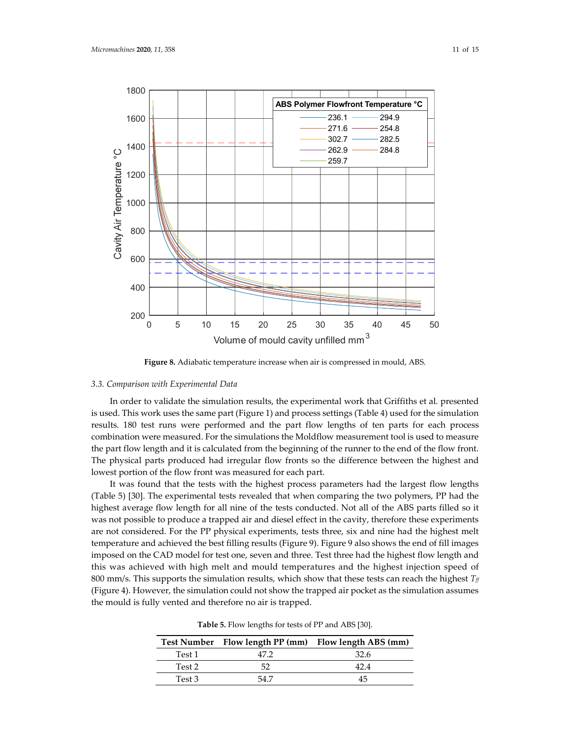

**Figure 8.** Adiabatic temperature increase when air is compressed in mould, ABS.

## *3.3. Comparison with Experimental Data*

In order to validate the simulation results, the experimental work that Griffiths et al. presented is used. This work uses the same part (Figure 1) and process settings (Table 4) used for the simulation results. 180 test runs were performed and the part flow lengths of ten parts for each process combination were measured. For the simulations the Moldflow measurement tool is used to measure the part flow length and it is calculated from the beginning of the runner to the end of the flow front. The physical parts produced had irregular flow fronts so the difference between the highest and lowest portion of the flow front was measured for each part.

It was found that the tests with the highest process parameters had the largest flow lengths (Table 5) [30]. The experimental tests revealed that when comparing the two polymers, PP had the highest average flow length for all nine of the tests conducted. Not all of the ABS parts filled so it was not possible to produce a trapped air and diesel effect in the cavity, therefore these experiments are not considered. For the PP physical experiments, tests three, six and nine had the highest melt temperature and achieved the best filling results (Figure 9). Figure 9 also shows the end of fill images imposed on the CAD model for test one, seven and three. Test three had the highest flow length and this was achieved with high melt and mould temperatures and the highest injection speed of 800 mm/s. This supports the simulation results, which show that these tests can reach the highest  $T_f$ (Figure 4). However, the simulation could not show the trapped air pocket as the simulation assumes the mould is fully vented and therefore no air is trapped.

|        |      | Test Number Flow length PP (mm) Flow length ABS (mm) |
|--------|------|------------------------------------------------------|
| Test 1 | 47.2 | -32.6                                                |
| Test 2 | 52   | 424                                                  |
| Test 3 | 54.7 | 45                                                   |

**Table 5.** Flow lengths for tests of PP and ABS [30].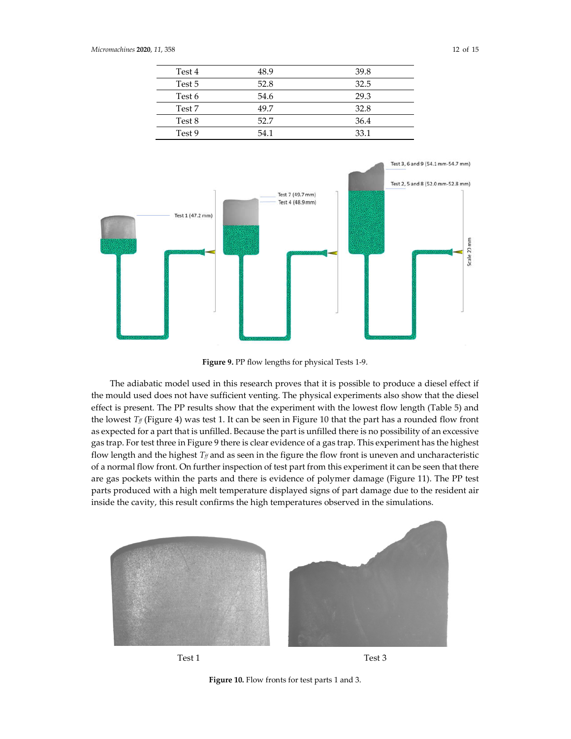| Test 4 | 48.9 | 39.8 |
|--------|------|------|
| Test 5 | 52.8 | 32.5 |
| Test 6 | 54.6 | 29.3 |
| Test 7 | 49.7 | 32.8 |
| Test 8 | 52.7 | 36.4 |
| Test 9 | 54.1 | 33.1 |



**Figure 9.** PP flow lengths for physical Tests 1-9.

The adiabatic model used in this research proves that it is possible to produce a diesel effect if the mould used does not have sufficient venting. The physical experiments also show that the diesel effect is present. The PP results show that the experiment with the lowest flow length (Table 5) and the lowest  $T_f$  (Figure 4) was test 1. It can be seen in Figure 10 that the part has a rounded flow front as expected for a part that is unfilled. Because the part is unfilled there is no possibility of an excessive gas trap. For test three in Figure 9 there is clear evidence of a gas trap. This experiment has the highest flow length and the highest  $T_f$  and as seen in the figure the flow front is uneven and uncharacteristic of a normal flow front. On further inspection of test part from this experiment it can be seen that there are gas pockets within the parts and there is evidence of polymer damage (Figure 11). The PP test parts produced with a high melt temperature displayed signs of part damage due to the resident air inside the cavity, this result confirms the high temperatures observed in the simulations.



Test 1 Test 3

**Figure 10.** Flow fronts for test parts 1 and 3.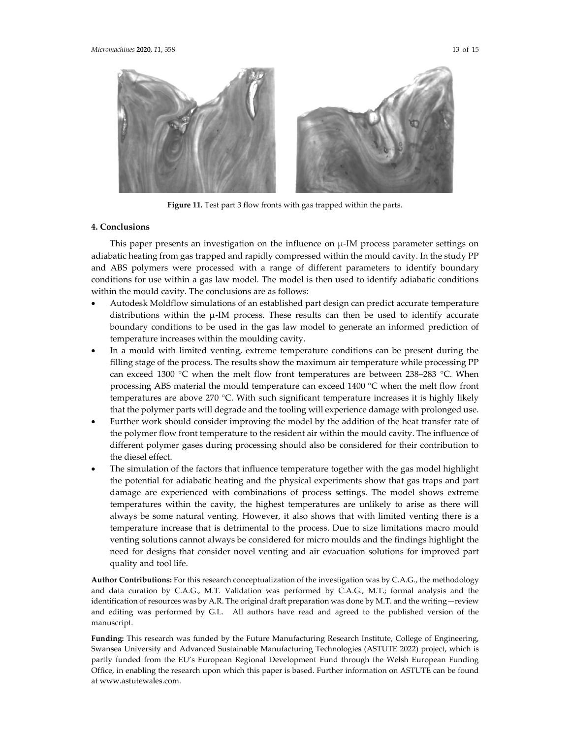

**Figure 11.** Test part 3 flow fronts with gas trapped within the parts.

### **4. Conclusions**

This paper presents an investigation on the influence on µ-IM process parameter settings on adiabatic heating from gas trapped and rapidly compressed within the mould cavity. In the study PP and ABS polymers were processed with a range of different parameters to identify boundary conditions for use within a gas law model. The model is then used to identify adiabatic conditions within the mould cavity. The conclusions are as follows:

- Autodesk Moldflow simulations of an established part design can predict accurate temperature distributions within the µ-IM process. These results can then be used to identify accurate boundary conditions to be used in the gas law model to generate an informed prediction of temperature increases within the moulding cavity.
- In a mould with limited venting, extreme temperature conditions can be present during the filling stage of the process. The results show the maximum air temperature while processing PP can exceed 1300 °C when the melt flow front temperatures are between 238–283 °C. When processing ABS material the mould temperature can exceed 1400 °C when the melt flow front temperatures are above 270 °C. With such significant temperature increases it is highly likely that the polymer parts will degrade and the tooling will experience damage with prolonged use.
- Further work should consider improving the model by the addition of the heat transfer rate of the polymer flow front temperature to the resident air within the mould cavity. The influence of different polymer gases during processing should also be considered for their contribution to the diesel effect.
- The simulation of the factors that influence temperature together with the gas model highlight the potential for adiabatic heating and the physical experiments show that gas traps and part damage are experienced with combinations of process settings. The model shows extreme temperatures within the cavity, the highest temperatures are unlikely to arise as there will always be some natural venting. However, it also shows that with limited venting there is a temperature increase that is detrimental to the process. Due to size limitations macro mould venting solutions cannot always be considered for micro moulds and the findings highlight the need for designs that consider novel venting and air evacuation solutions for improved part quality and tool life.

**Author Contributions:** For this research conceptualization of the investigation was by C.A.G., the methodology and data curation by C.A.G., M.T. Validation was performed by C.A.G., M.T.; formal analysis and the identification of resources was by A.R. The original draft preparation was done by M.T. and the writing—review and editing was performed by G.L. All authors have read and agreed to the published version of the manuscript.

**Funding:** This research was funded by the Future Manufacturing Research Institute, College of Engineering, Swansea University and Advanced Sustainable Manufacturing Technologies (ASTUTE 2022) project, which is partly funded from the EU's European Regional Development Fund through the Welsh European Funding Office, in enabling the research upon which this paper is based. Further information on ASTUTE can be found at www.astutewales.com.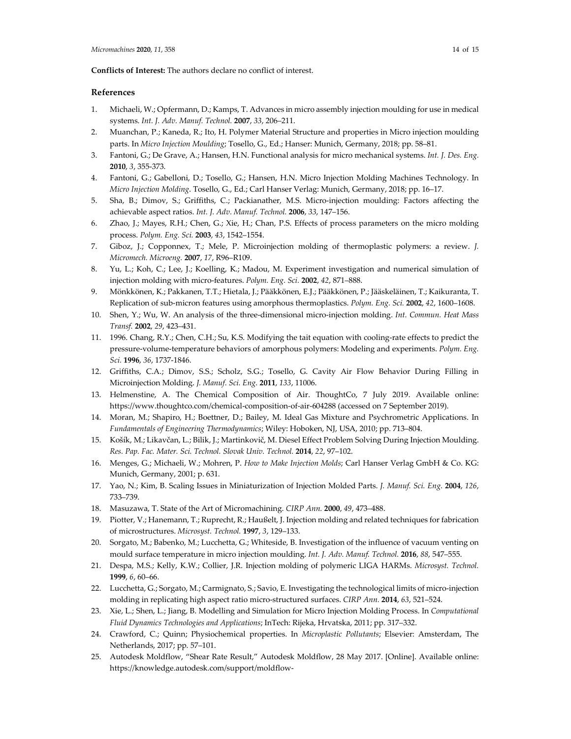#### **Conflicts of Interest:** The authors declare no conflict of interest.

## **References**

- 1. Michaeli, W.; Opfermann, D.; Kamps, T. Advances in micro assembly injection moulding for use in medical systems. *Int. J. Adv. Manuf. Technol.* **2007**, *33*, 206–211.
- 2. Muanchan, P.; Kaneda, R.; Ito, H. Polymer Material Structure and properties in Micro injection moulding parts. In *Micro Injection Moulding*; Tosello, G., Ed.; Hanser: Munich, Germany, 2018; pp. 58–81.
- 3. Fantoni, G.; De Grave, A.; Hansen, H.N. Functional analysis for micro mechanical systems. *Int. J. Des. Eng.* **2010**, *3*, 355-373.
- 4. Fantoni, G.; Gabelloni, D.; Tosello, G.; Hansen, H.N. Micro Injection Molding Machines Technology. In *Micro Injection Molding*. Tosello, G., Ed.; Carl Hanser Verlag: Munich, Germany, 2018; pp. 16–17.
- 5. Sha, B.; Dimov, S.; Griffiths, C.; Packianather, M.S. Micro-injection moulding: Factors affecting the achievable aspect ratios. *Int. J. Adv. Manuf. Technol.* **2006**, *33*, 147–156.
- 6. Zhao, J.; Mayes, R.H.; Chen, G.; Xie, H.; Chan, P.S. Effects of process parameters on the micro molding process. *Polym. Eng. Sci.* **2003**, *43*, 1542–1554.
- 7. Giboz, J.; Copponnex, T.; Mele, P. Microinjection molding of thermoplastic polymers: a review. *J. Micromech. Microeng.* **2007**, *17*, R96–R109.
- 8. Yu, L.; Koh, C.; Lee, J.; Koelling, K.; Madou, M. Experiment investigation and numerical simulation of injection molding with micro-features. *Polym. Eng. Sci.* **2002**, *42*, 871–888.
- 9. Mönkkönen, K.; Pakkanen, T.T.; Hietala, J.; Pääkkönen, E.J.; Pääkkönen, P.; Jääskeläinen, T.; Kaikuranta, T. Replication of sub-micron features using amorphous thermoplastics. *Polym. Eng. Sci.* **2002**, *42*, 1600–1608.
- 10. Shen, Y.; Wu, W. An analysis of the three-dimensional micro-injection molding. *Int. Commun. Heat Mass Transf.* **2002**, *29*, 423–431.
- 11. 1996. Chang, R.Y.; Chen, C.H.; Su, K.S. Modifying the tait equation with cooling-rate effects to predict the pressure-volume-temperature behaviors of amorphous polymers: Modeling and experiments. *Polym. Eng. Sci.* **1996**, *36*, 1737-1846.
- 12. Griffiths, C.A.; Dimov, S.S.; Scholz, S.G.; Tosello, G. Cavity Air Flow Behavior During Filling in Microinjection Molding. *J. Manuf. Sci. Eng.* **2011**, *133*, 11006.
- 13. Helmenstine, A. The Chemical Composition of Air. ThoughtCo, 7 July 2019. Available online: https://www.thoughtco.com/chemical-composition-of-air-604288 (accessed on 7 September 2019).
- 14. Moran, M.; Shapiro, H.; Boettner, D.; Bailey, M. Ideal Gas Mixture and Psychrometric Applications. In *Fundamentals of Engineering Thermodynamics*; Wiley: Hoboken, NJ, USA, 2010; pp. 713–804.
- 15. Košík, M.; Likavčan, L.; Bilik, J.; Martinkovič, M. Diesel Effect Problem Solving During Injection Moulding. *Res. Pap. Fac. Mater. Sci. Technol. Slovak Univ. Technol.* **2014**, *22*, 97–102.
- 16. Menges, G.; Michaeli, W.; Mohren, P. *How to Make Injection Molds*; Carl Hanser Verlag GmbH & Co. KG: Munich, Germany, 2001; p. 631.
- 17. Yao, N.; Kim, B. Scaling Issues in Miniaturization of Injection Molded Parts. *J. Manuf. Sci. Eng.* **2004**, *126*, 733–739.
- 18. Masuzawa, T. State of the Art of Micromachining. *CIRP Ann.* **2000**, *49*, 473–488.
- 19. Piotter, V.; Hanemann, T.; Ruprecht, R.; Haußelt, J. Injection molding and related techniques for fabrication of microstructures. *Microsyst. Technol.* **1997**, *3*, 129–133.
- 20. Sorgato, M.; Babenko, M.; Lucchetta, G.; Whiteside, B. Investigation of the influence of vacuum venting on mould surface temperature in micro injection moulding. *Int. J. Adv. Manuf. Technol.* **2016**, *88*, 547–555.
- 21. Despa, M.S.; Kelly, K.W.; Collier, J.R. Injection molding of polymeric LIGA HARMs. *Microsyst. Technol.* **1999**, *6*, 60–66.
- 22. Lucchetta, G.; Sorgato, M.; Carmignato, S.; Savio, E. Investigating the technological limits of micro-injection molding in replicating high aspect ratio micro-structured surfaces. *CIRP Ann.* **2014**, *63*, 521–524.
- 23. Xie, L.; Shen, L.; Jiang, B. Modelling and Simulation for Micro Injection Molding Process. In *Computational Fluid Dynamics Technologies and Applications*; InTech: Rijeka, Hrvatska, 2011; pp. 317–332.
- 24. Crawford, C.; Quinn; Physiochemical properties. In *Microplastic Pollutants*; Elsevier: Amsterdam, The Netherlands, 2017; pp. 57–101.
- 25. Autodesk Moldflow, "Shear Rate Result," Autodesk Moldflow, 28 May 2017. [Online]. Available online: https://knowledge.autodesk.com/support/moldflow-